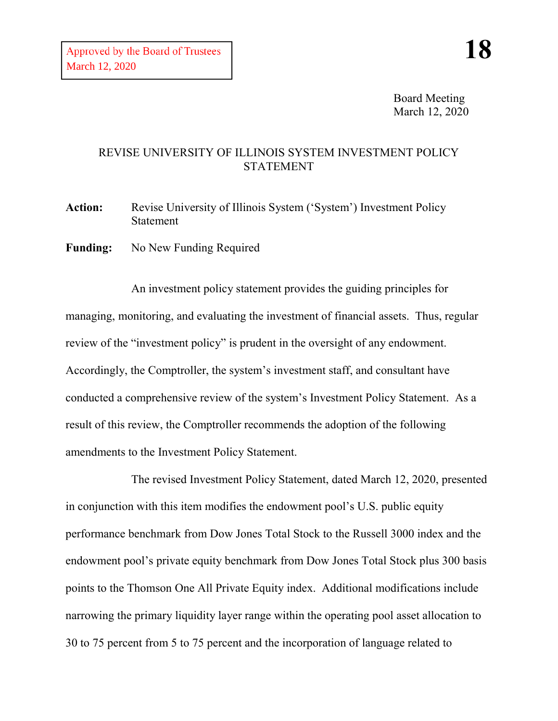Board Meeting March 12, 2020

## REVISE UNIVERSITY OF ILLINOIS SYSTEM INVESTMENT POLICY STATEMENT

Action: Revise University of Illinois System ('System') Investment Policy Statement

**Funding:** No New Funding Required

An investment policy statement provides the guiding principles for managing, monitoring, and evaluating the investment of financial assets. Thus, regular review of the "investment policy" is prudent in the oversight of any endowment. Accordingly, the Comptroller, the system's investment staff, and consultant have conducted a comprehensive review of the system's Investment Policy Statement. As a result of this review, the Comptroller recommends the adoption of the following amendments to the Investment Policy Statement.

The revised Investment Policy Statement, dated March 12, 2020, presented in conjunction with this item modifies the endowment pool's U.S. public equity performance benchmark from Dow Jones Total Stock to the Russell 3000 index and the endowment pool's private equity benchmark from Dow Jones Total Stock plus 300 basis points to the Thomson One All Private Equity index. Additional modifications include narrowing the primary liquidity layer range within the operating pool asset allocation to 30 to 75 percent from 5 to 75 percent and the incorporation of language related to